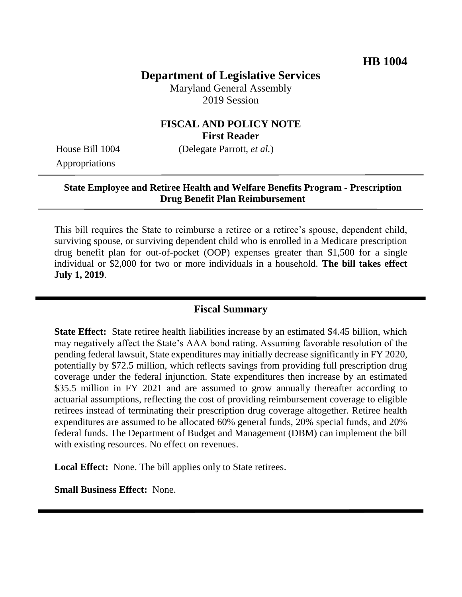# **Department of Legislative Services**

Maryland General Assembly 2019 Session

## **FISCAL AND POLICY NOTE First Reader**

Appropriations

House Bill 1004 (Delegate Parrott, *et al.*)

### **State Employee and Retiree Health and Welfare Benefits Program - Prescription Drug Benefit Plan Reimbursement**

This bill requires the State to reimburse a retiree or a retiree's spouse, dependent child, surviving spouse, or surviving dependent child who is enrolled in a Medicare prescription drug benefit plan for out-of-pocket (OOP) expenses greater than \$1,500 for a single individual or \$2,000 for two or more individuals in a household. **The bill takes effect July 1, 2019**.

### **Fiscal Summary**

**State Effect:** State retiree health liabilities increase by an estimated \$4.45 billion, which may negatively affect the State's AAA bond rating. Assuming favorable resolution of the pending federal lawsuit, State expenditures may initially decrease significantly in FY 2020, potentially by \$72.5 million, which reflects savings from providing full prescription drug coverage under the federal injunction. State expenditures then increase by an estimated \$35.5 million in FY 2021 and are assumed to grow annually thereafter according to actuarial assumptions, reflecting the cost of providing reimbursement coverage to eligible retirees instead of terminating their prescription drug coverage altogether. Retiree health expenditures are assumed to be allocated 60% general funds, 20% special funds, and 20% federal funds. The Department of Budget and Management (DBM) can implement the bill with existing resources. No effect on revenues.

**Local Effect:** None. The bill applies only to State retirees.

**Small Business Effect:** None.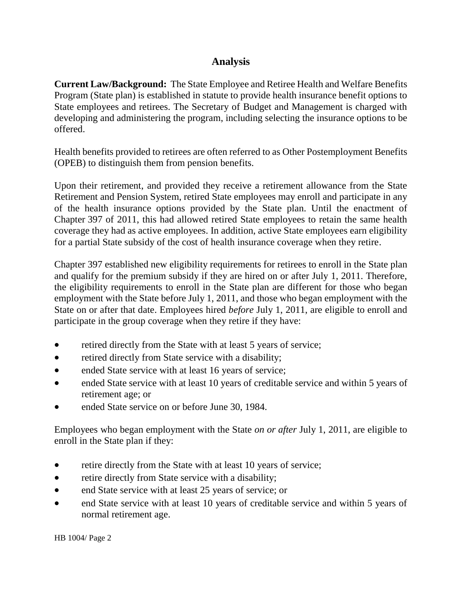# **Analysis**

**Current Law/Background:** The State Employee and Retiree Health and Welfare Benefits Program (State plan) is established in statute to provide health insurance benefit options to State employees and retirees. The Secretary of Budget and Management is charged with developing and administering the program, including selecting the insurance options to be offered.

Health benefits provided to retirees are often referred to as Other Postemployment Benefits (OPEB) to distinguish them from pension benefits.

Upon their retirement, and provided they receive a retirement allowance from the State Retirement and Pension System, retired State employees may enroll and participate in any of the health insurance options provided by the State plan. Until the enactment of Chapter 397 of 2011, this had allowed retired State employees to retain the same health coverage they had as active employees. In addition, active State employees earn eligibility for a partial State subsidy of the cost of health insurance coverage when they retire.

Chapter 397 established new eligibility requirements for retirees to enroll in the State plan and qualify for the premium subsidy if they are hired on or after July 1, 2011. Therefore, the eligibility requirements to enroll in the State plan are different for those who began employment with the State before July 1, 2011, and those who began employment with the State on or after that date. Employees hired *before* July 1, 2011, are eligible to enroll and participate in the group coverage when they retire if they have:

- retired directly from the State with at least 5 years of service;
- retired directly from State service with a disability;
- ended State service with at least 16 years of service;
- ended State service with at least 10 years of creditable service and within 5 years of retirement age; or
- ended State service on or before June 30, 1984.

Employees who began employment with the State *on or after* July 1, 2011, are eligible to enroll in the State plan if they:

- retire directly from the State with at least 10 years of service;
- retire directly from State service with a disability;
- end State service with at least 25 years of service; or
- end State service with at least 10 years of creditable service and within 5 years of normal retirement age.

HB 1004/ Page 2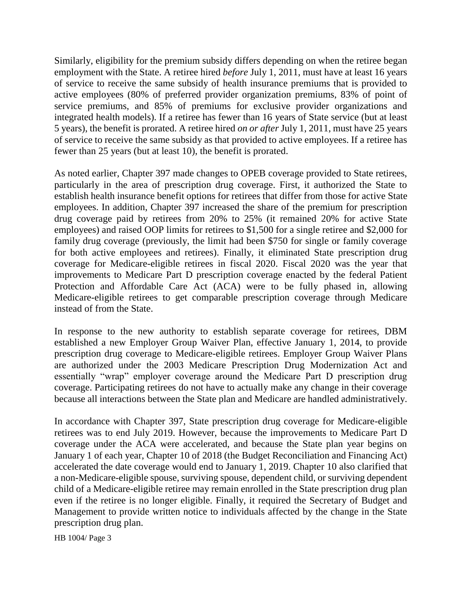Similarly, eligibility for the premium subsidy differs depending on when the retiree began employment with the State. A retiree hired *before* July 1, 2011, must have at least 16 years of service to receive the same subsidy of health insurance premiums that is provided to active employees (80% of preferred provider organization premiums, 83% of point of service premiums, and 85% of premiums for exclusive provider organizations and integrated health models). If a retiree has fewer than 16 years of State service (but at least 5 years), the benefit is prorated. A retiree hired *on or after* July 1, 2011, must have 25 years of service to receive the same subsidy as that provided to active employees. If a retiree has fewer than 25 years (but at least 10), the benefit is prorated.

As noted earlier, Chapter 397 made changes to OPEB coverage provided to State retirees, particularly in the area of prescription drug coverage. First, it authorized the State to establish health insurance benefit options for retirees that differ from those for active State employees. In addition, Chapter 397 increased the share of the premium for prescription drug coverage paid by retirees from 20% to 25% (it remained 20% for active State employees) and raised OOP limits for retirees to \$1,500 for a single retiree and \$2,000 for family drug coverage (previously, the limit had been \$750 for single or family coverage for both active employees and retirees). Finally, it eliminated State prescription drug coverage for Medicare-eligible retirees in fiscal 2020. Fiscal 2020 was the year that improvements to Medicare Part D prescription coverage enacted by the federal Patient Protection and Affordable Care Act (ACA) were to be fully phased in, allowing Medicare-eligible retirees to get comparable prescription coverage through Medicare instead of from the State.

In response to the new authority to establish separate coverage for retirees, DBM established a new Employer Group Waiver Plan, effective January 1, 2014, to provide prescription drug coverage to Medicare-eligible retirees. Employer Group Waiver Plans are authorized under the 2003 Medicare Prescription Drug Modernization Act and essentially "wrap" employer coverage around the Medicare Part D prescription drug coverage. Participating retirees do not have to actually make any change in their coverage because all interactions between the State plan and Medicare are handled administratively.

In accordance with Chapter 397, State prescription drug coverage for Medicare-eligible retirees was to end July 2019. However, because the improvements to Medicare Part D coverage under the ACA were accelerated, and because the State plan year begins on January 1 of each year, Chapter 10 of 2018 (the Budget Reconciliation and Financing Act) accelerated the date coverage would end to January 1, 2019. Chapter 10 also clarified that a non-Medicare-eligible spouse, surviving spouse, dependent child, or surviving dependent child of a Medicare-eligible retiree may remain enrolled in the State prescription drug plan even if the retiree is no longer eligible. Finally, it required the Secretary of Budget and Management to provide written notice to individuals affected by the change in the State prescription drug plan.

HB 1004/ Page 3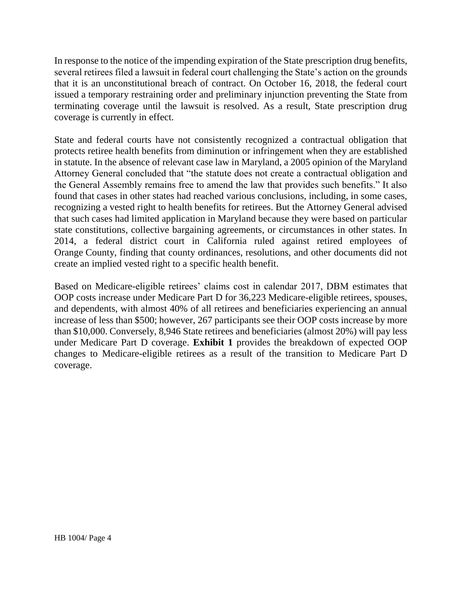In response to the notice of the impending expiration of the State prescription drug benefits, several retirees filed a lawsuit in federal court challenging the State's action on the grounds that it is an unconstitutional breach of contract. On October 16, 2018, the federal court issued a temporary restraining order and preliminary injunction preventing the State from terminating coverage until the lawsuit is resolved. As a result, State prescription drug coverage is currently in effect.

State and federal courts have not consistently recognized a contractual obligation that protects retiree health benefits from diminution or infringement when they are established in statute. In the absence of relevant case law in Maryland, a 2005 opinion of the Maryland Attorney General concluded that "the statute does not create a contractual obligation and the General Assembly remains free to amend the law that provides such benefits." It also found that cases in other states had reached various conclusions, including, in some cases, recognizing a vested right to health benefits for retirees. But the Attorney General advised that such cases had limited application in Maryland because they were based on particular state constitutions, collective bargaining agreements, or circumstances in other states. In 2014, a federal district court in California ruled against retired employees of Orange County, finding that county ordinances, resolutions, and other documents did not create an implied vested right to a specific health benefit.

Based on Medicare-eligible retirees' claims cost in calendar 2017, DBM estimates that OOP costs increase under Medicare Part D for 36,223 Medicare-eligible retirees, spouses, and dependents, with almost 40% of all retirees and beneficiaries experiencing an annual increase of less than \$500; however, 267 participants see their OOP costs increase by more than \$10,000. Conversely, 8,946 State retirees and beneficiaries (almost 20%) will pay less under Medicare Part D coverage. **Exhibit 1** provides the breakdown of expected OOP changes to Medicare-eligible retirees as a result of the transition to Medicare Part D coverage.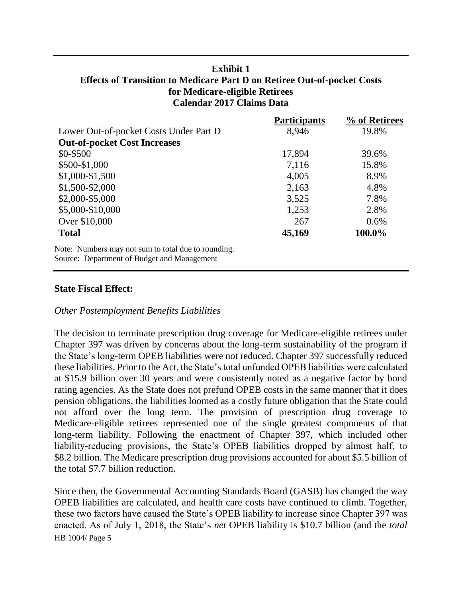## **Exhibit 1 Effects of Transition to Medicare Part D on Retiree Out-of-pocket Costs for Medicare-eligible Retirees Calendar 2017 Claims Data**

|                                                     | <b>Participants</b> | % of Retirees |
|-----------------------------------------------------|---------------------|---------------|
| Lower Out-of-pocket Costs Under Part D              | 8,946               | 19.8%         |
| <b>Out-of-pocket Cost Increases</b>                 |                     |               |
| \$0-\$500                                           | 17,894              | 39.6%         |
| \$500-\$1,000                                       | 7,116               | 15.8%         |
| $$1,000-S1,500$                                     | 4,005               | 8.9%          |
| \$1,500-\$2,000                                     | 2,163               | 4.8%          |
| \$2,000-\$5,000                                     | 3,525               | 7.8%          |
| \$5,000-\$10,000                                    | 1,253               | 2.8%          |
| Over \$10,000                                       | 267                 | 0.6%          |
| <b>Total</b>                                        | 45,169              | 100.0%        |
| Note: Numbers may not sum to total due to rounding. |                     |               |
| Source: Department of Budget and Management         |                     |               |

#### **State Fiscal Effect:**

#### *Other Postemployment Benefits Liabilities*

The decision to terminate prescription drug coverage for Medicare-eligible retirees under Chapter 397 was driven by concerns about the long-term sustainability of the program if the State's long-term OPEB liabilities were not reduced. Chapter 397 successfully reduced these liabilities. Prior to the Act, the State's total unfunded OPEB liabilities were calculated at \$15.9 billion over 30 years and were consistently noted as a negative factor by bond rating agencies. As the State does not prefund OPEB costs in the same manner that it does pension obligations, the liabilities loomed as a costly future obligation that the State could not afford over the long term. The provision of prescription drug coverage to Medicare-eligible retirees represented one of the single greatest components of that long-term liability. Following the enactment of Chapter 397, which included other liability-reducing provisions, the State's OPEB liabilities dropped by almost half, to \$8.2 billion. The Medicare prescription drug provisions accounted for about \$5.5 billion of the total \$7.7 billion reduction.

HB 1004/ Page 5 Since then, the Governmental Accounting Standards Board (GASB) has changed the way OPEB liabilities are calculated, and health care costs have continued to climb. Together, these two factors have caused the State's OPEB liability to increase since Chapter 397 was enacted. As of July 1, 2018, the State's *net* OPEB liability is \$10.7 billion (and the *total*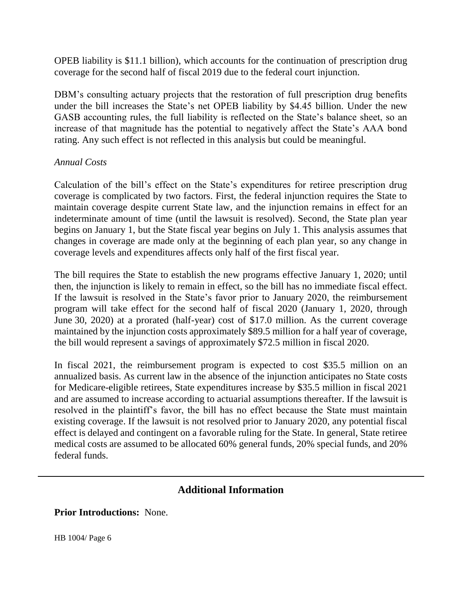OPEB liability is \$11.1 billion), which accounts for the continuation of prescription drug coverage for the second half of fiscal 2019 due to the federal court injunction.

DBM's consulting actuary projects that the restoration of full prescription drug benefits under the bill increases the State's net OPEB liability by \$4.45 billion. Under the new GASB accounting rules, the full liability is reflected on the State's balance sheet, so an increase of that magnitude has the potential to negatively affect the State's AAA bond rating. Any such effect is not reflected in this analysis but could be meaningful.

#### *Annual Costs*

Calculation of the bill's effect on the State's expenditures for retiree prescription drug coverage is complicated by two factors. First, the federal injunction requires the State to maintain coverage despite current State law, and the injunction remains in effect for an indeterminate amount of time (until the lawsuit is resolved). Second, the State plan year begins on January 1, but the State fiscal year begins on July 1. This analysis assumes that changes in coverage are made only at the beginning of each plan year, so any change in coverage levels and expenditures affects only half of the first fiscal year.

The bill requires the State to establish the new programs effective January 1, 2020; until then, the injunction is likely to remain in effect, so the bill has no immediate fiscal effect. If the lawsuit is resolved in the State's favor prior to January 2020, the reimbursement program will take effect for the second half of fiscal 2020 (January 1, 2020, through June 30, 2020) at a prorated (half-year) cost of \$17.0 million. As the current coverage maintained by the injunction costs approximately \$89.5 million for a half year of coverage, the bill would represent a savings of approximately \$72.5 million in fiscal 2020.

In fiscal 2021, the reimbursement program is expected to cost \$35.5 million on an annualized basis. As current law in the absence of the injunction anticipates no State costs for Medicare-eligible retirees, State expenditures increase by \$35.5 million in fiscal 2021 and are assumed to increase according to actuarial assumptions thereafter. If the lawsuit is resolved in the plaintiff's favor, the bill has no effect because the State must maintain existing coverage. If the lawsuit is not resolved prior to January 2020, any potential fiscal effect is delayed and contingent on a favorable ruling for the State. In general, State retiree medical costs are assumed to be allocated 60% general funds, 20% special funds, and 20% federal funds.

## **Additional Information**

**Prior Introductions:** None.